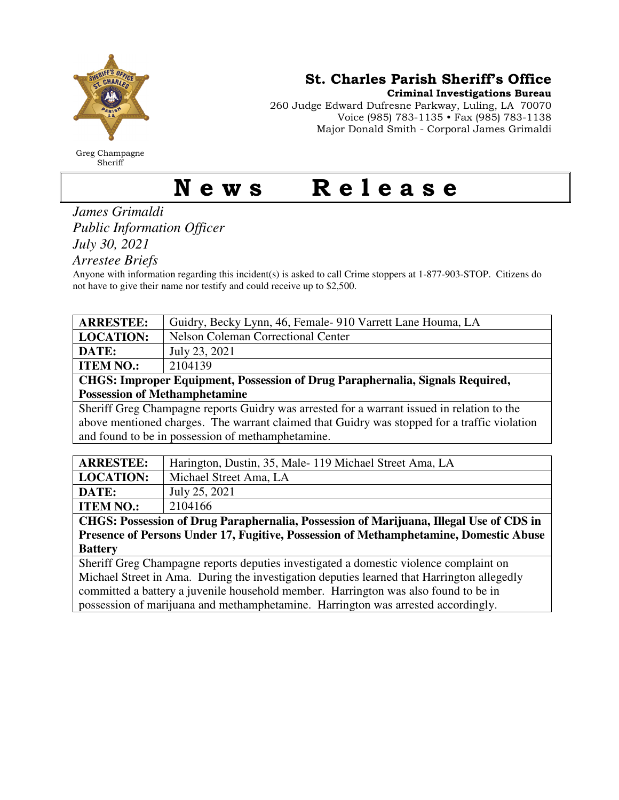

Greg Champagne Sheriff

St. Charles Parish Sheriff's Office

Criminal Investigations Bureau

260 Judge Edward Dufresne Parkway, Luling, LA 70070 Voice (985) 783-1135 • Fax (985) 783-1138 Major Donald Smith - Corporal James Grimaldi

## News Release

*James Grimaldi Public Information Officer July 30, 2021* 

*Arrestee Briefs* 

Anyone with information regarding this incident(s) is asked to call Crime stoppers at 1-877-903-STOP. Citizens do not have to give their name nor testify and could receive up to \$2,500.

| <b>ARRESTEE:</b>                                                              | Guidry, Becky Lynn, 46, Female- 910 Varrett Lane Houma, LA |
|-------------------------------------------------------------------------------|------------------------------------------------------------|
| <b>LOCATION:</b>                                                              | Nelson Coleman Correctional Center                         |
| <b>DATE:</b>                                                                  | July 23, 2021                                              |
| <b>ITEM NO.:</b>                                                              | 2104139                                                    |
| CHGS: Improper Equipment, Possession of Drug Paraphernalia, Signals Required, |                                                            |

**Possession of Methamphetamine** 

Sheriff Greg Champagne reports Guidry was arrested for a warrant issued in relation to the above mentioned charges. The warrant claimed that Guidry was stopped for a traffic violation and found to be in possession of methamphetamine.

| <b>ARRESTEE:</b> | Harington, Dustin, 35, Male-119 Michael Street Ama, LA |
|------------------|--------------------------------------------------------|
| <b>LOCATION:</b> | Michael Street Ama, LA                                 |
| DATE:            | July 25, 2021                                          |
| <b>ITEM NO.:</b> | 2104166                                                |

**CHGS: Possession of Drug Paraphernalia, Possession of Marijuana, Illegal Use of CDS in Presence of Persons Under 17, Fugitive, Possession of Methamphetamine, Domestic Abuse Battery** 

Sheriff Greg Champagne reports deputies investigated a domestic violence complaint on Michael Street in Ama. During the investigation deputies learned that Harrington allegedly committed a battery a juvenile household member. Harrington was also found to be in possession of marijuana and methamphetamine. Harrington was arrested accordingly.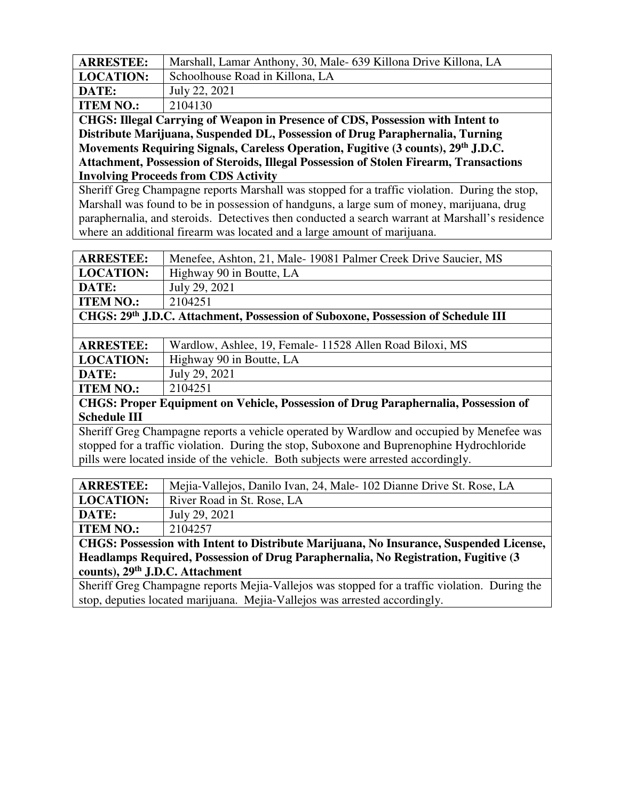| <b>ARRESTEE:</b>         | Marshall, Lamar Anthony, 30, Male- 639 Killona Drive Killona, LA |
|--------------------------|------------------------------------------------------------------|
| <b>LOCATION:</b>         | Schoolhouse Road in Killona, LA                                  |
| DATE:                    | July 22, 2021                                                    |
| <b>ITEM NO.:</b>         | 2104130                                                          |
| $\alpha$<br>$\mathbf{v}$ |                                                                  |

**CHGS: Illegal Carrying of Weapon in Presence of CDS, Possession with Intent to Distribute Marijuana, Suspended DL, Possession of Drug Paraphernalia, Turning Movements Requiring Signals, Careless Operation, Fugitive (3 counts), 29th J.D.C. Attachment, Possession of Steroids, Illegal Possession of Stolen Firearm, Transactions Involving Proceeds from CDS Activity** 

Sheriff Greg Champagne reports Marshall was stopped for a traffic violation. During the stop, Marshall was found to be in possession of handguns, a large sum of money, marijuana, drug paraphernalia, and steroids. Detectives then conducted a search warrant at Marshall's residence where an additional firearm was located and a large amount of marijuana.

| <b>ARRESTEE:</b>                                                                          | Menefee, Ashton, 21, Male-19081 Palmer Creek Drive Saucier, MS                     |  |
|-------------------------------------------------------------------------------------------|------------------------------------------------------------------------------------|--|
| <b>LOCATION:</b>                                                                          | Highway 90 in Boutte, LA                                                           |  |
| DATE:                                                                                     | July 29, 2021                                                                      |  |
| <b>ITEM NO.:</b>                                                                          | 2104251                                                                            |  |
| CHGS: 29th J.D.C. Attachment, Possession of Suboxone, Possession of Schedule III          |                                                                                    |  |
|                                                                                           |                                                                                    |  |
| <b>ARRESTEE:</b>                                                                          | Wardlow, Ashlee, 19, Female- 11528 Allen Road Biloxi, MS                           |  |
| <b>LOCATION:</b>                                                                          | Highway 90 in Boutte, LA                                                           |  |
| DATE:                                                                                     | July 29, 2021                                                                      |  |
| <b>ITEM NO.:</b>                                                                          | 2104251                                                                            |  |
|                                                                                           | CHGS: Proper Equipment on Vehicle, Possession of Drug Paraphernalia, Possession of |  |
| <b>Schedule III</b>                                                                       |                                                                                    |  |
| Sheriff Greg Champagne reports a vehicle operated by Wardlow and occupied by Menefee was  |                                                                                    |  |
| stopped for a traffic violation. During the stop, Suboxone and Buprenophine Hydrochloride |                                                                                    |  |
| pills were located inside of the vehicle. Both subjects were arrested accordingly.        |                                                                                    |  |
|                                                                                           |                                                                                    |  |
| <b>ARRESTEE:</b>                                                                          | Mejia-Vallejos, Danilo Ivan, 24, Male-102 Dianne Drive St. Rose, LA                |  |
| <b>LOCATION:</b>                                                                          | River Road in St. Rose, LA                                                         |  |

**DATE:** July 29, 2021 **ITEM NO.:** | 2104257

**CHGS: Possession with Intent to Distribute Marijuana, No Insurance, Suspended License, Headlamps Required, Possession of Drug Paraphernalia, No Registration, Fugitive (3 counts), 29th J.D.C. Attachment** 

Sheriff Greg Champagne reports Mejia-Vallejos was stopped for a traffic violation. During the stop, deputies located marijuana. Mejia-Vallejos was arrested accordingly.